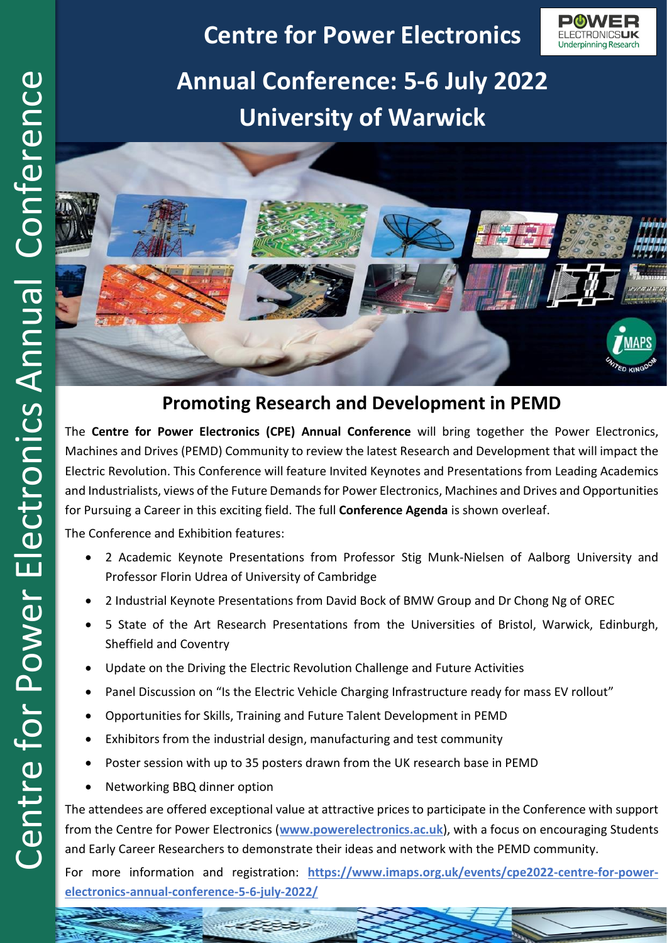## **Centre for Power Electronics**

Underpinning Research

**Annual Conference: 5-6 July 2022 University of Warwick**



## **Promoting Research and Development in PEMD**

The **Centre for Power Electronics (CPE) Annual Conference** will bring together the Power Electronics, Machines and Drives (PEMD) Community to review the latest Research and Development that will impact the Electric Revolution. This Conference will feature Invited Keynotes and Presentations from Leading Academics and Industrialists, views of the Future Demands for Power Electronics, Machines and Drives and Opportunities for Pursuing a Career in this exciting field. The full **Conference Agenda** is shown overleaf.

The Conference and Exhibition features:

- 2 Academic Keynote Presentations from Professor Stig Munk-Nielsen of Aalborg University and Professor Florin Udrea of University of Cambridge
- 2 Industrial Keynote Presentations from David Bock of BMW Group and Dr Chong Ng of OREC
- 5 State of the Art Research Presentations from the Universities of Bristol, Warwick, Edinburgh, Sheffield and Coventry
- Update on the Driving the Electric Revolution Challenge and Future Activities
- Panel Discussion on "Is the Electric Vehicle Charging Infrastructure ready for mass EV rollout"
- Opportunities for Skills, Training and Future Talent Development in PEMD
- Exhibitors from the industrial design, manufacturing and test community

 $z - z$ 

- Poster session with up to 35 posters drawn from the UK research base in PEMD
- Networking BBQ dinner option

The attendees are offered exceptional value at attractive prices to participate in the Conference with support from the Centre for Power Electronics (**[www.powerelectronics.ac.uk](http://www.powerelectronics.ac.uk/)**), with a focus on encouraging Students and Early Career Researchers to demonstrate their ideas and network with the PEMD community.

For more information and registration: **[https://www.imaps.org.uk/events/cpe2022-centre-for-power](https://www.imaps.org.uk/events/cpe2022-centre-for-power-electronics-annual-conference-5-6-july-2022/)[electronics-annual-conference-5-6-july-2022/](https://www.imaps.org.uk/events/cpe2022-centre-for-power-electronics-annual-conference-5-6-july-2022/)**